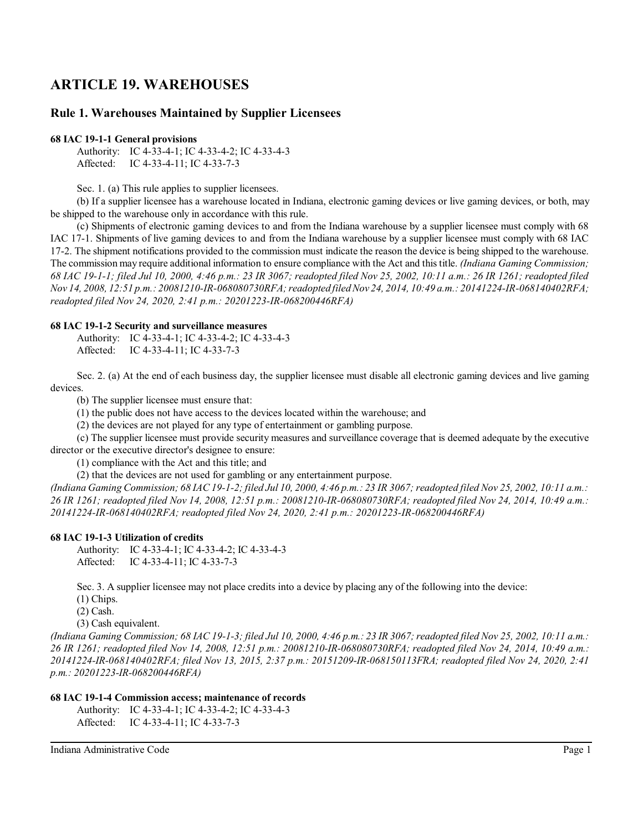# **ARTICLE 19. WAREHOUSES**

# **Rule 1. Warehouses Maintained by Supplier Licensees**

## **68 IAC 19-1-1 General provisions**

Authority: IC 4-33-4-1; IC 4-33-4-2; IC 4-33-4-3 Affected: IC 4-33-4-11; IC 4-33-7-3

Sec. 1. (a) This rule applies to supplier licensees.

(b) If a supplier licensee has a warehouse located in Indiana, electronic gaming devices or live gaming devices, or both, may be shipped to the warehouse only in accordance with this rule.

(c) Shipments of electronic gaming devices to and from the Indiana warehouse by a supplier licensee must comply with 68 IAC 17-1. Shipments of live gaming devices to and from the Indiana warehouse by a supplier licensee must comply with 68 IAC 17-2. The shipment notifications provided to the commission must indicate the reason the device is being shipped to the warehouse. The commission may require additional information to ensure compliance with the Act and this title. *(Indiana Gaming Commission; 68 IAC 19-1-1; filed Jul 10, 2000, 4:46 p.m.: 23 IR 3067; readopted filed Nov 25, 2002, 10:11 a.m.: 26 IR 1261; readopted filed Nov 14, 2008, 12:51 p.m.: 20081210-IR-068080730RFA; readopted filed Nov 24, 2014, 10:49 a.m.: 20141224-IR-068140402RFA; readopted filed Nov 24, 2020, 2:41 p.m.: 20201223-IR-068200446RFA)*

#### **68 IAC 19-1-2 Security and surveillance measures**

Authority: IC 4-33-4-1; IC 4-33-4-2; IC 4-33-4-3 Affected: IC 4-33-4-11; IC 4-33-7-3

Sec. 2. (a) At the end of each business day, the supplier licensee must disable all electronic gaming devices and live gaming devices.

(b) The supplier licensee must ensure that:

(1) the public does not have access to the devices located within the warehouse; and

(2) the devices are not played for any type of entertainment or gambling purpose.

(c) The supplier licensee must provide security measures and surveillance coverage that is deemed adequate by the executive director or the executive director's designee to ensure:

(1) compliance with the Act and this title; and

(2) that the devices are not used for gambling or any entertainment purpose.

*(Indiana Gaming Commission; 68 IAC 19-1-2; filed Jul 10, 2000, 4:46 p.m.: 23 IR 3067; readopted filed Nov 25, 2002, 10:11 a.m.: 26 IR 1261; readopted filed Nov 14, 2008, 12:51 p.m.: 20081210-IR-068080730RFA; readopted filed Nov 24, 2014, 10:49 a.m.: 20141224-IR-068140402RFA; readopted filed Nov 24, 2020, 2:41 p.m.: 20201223-IR-068200446RFA)*

#### **68 IAC 19-1-3 Utilization of credits**

Authority: IC 4-33-4-1; IC 4-33-4-2; IC 4-33-4-3 Affected: IC 4-33-4-11; IC 4-33-7-3

Sec. 3. A supplier licensee may not place credits into a device by placing any of the following into the device:

- (1) Chips.
- (2) Cash.

(3) Cash equivalent.

*(Indiana Gaming Commission; 68 IAC 19-1-3; filed Jul 10, 2000, 4:46 p.m.: 23 IR 3067;readopted filed Nov 25, 2002, 10:11 a.m.: 26 IR 1261; readopted filed Nov 14, 2008, 12:51 p.m.: 20081210-IR-068080730RFA; readopted filed Nov 24, 2014, 10:49 a.m.: 20141224-IR-068140402RFA; filed Nov 13, 2015, 2:37 p.m.: 20151209-IR-068150113FRA; readopted filed Nov 24, 2020, 2:41 p.m.: 20201223-IR-068200446RFA)*

## **68 IAC 19-1-4 Commission access; maintenance of records**

Authority: IC 4-33-4-1; IC 4-33-4-2; IC 4-33-4-3 Affected: IC 4-33-4-11; IC 4-33-7-3